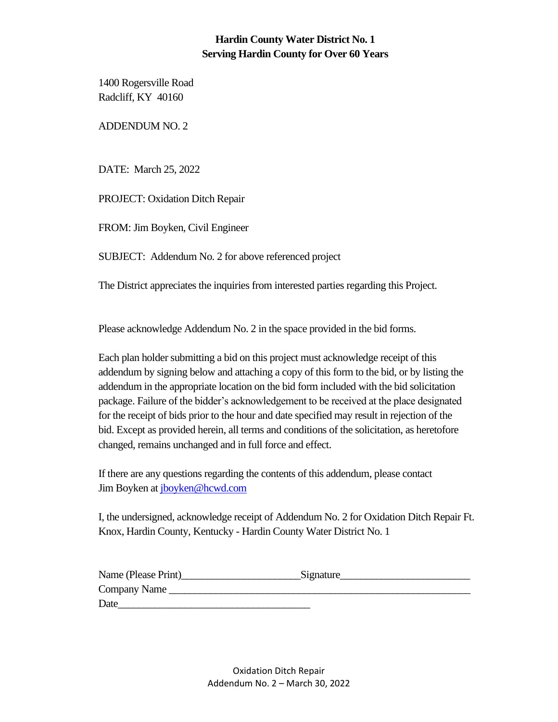## **Hardin County Water District No. 1 Serving Hardin County for Over 60 Years**

1400 Rogersville Road Radcliff, KY 40160

ADDENDUM NO. 2

DATE: March 25, 2022

PROJECT: Oxidation Ditch Repair

FROM: Jim Boyken, Civil Engineer

SUBJECT: Addendum No. 2 for above referenced project

The District appreciates the inquiries from interested parties regarding this Project.

Please acknowledge Addendum No. 2 in the space provided in the bid forms.

Each plan holder submitting a bid on this project must acknowledge receipt of this addendum by signing below and attaching a copy of this form to the bid, or by listing the addendum in the appropriate location on the bid form included with the bid solicitation package. Failure of the bidder's acknowledgement to be received at the place designated for the receipt of bids prior to the hour and date specified may result in rejection of the bid. Except as provided herein, all terms and conditions of the solicitation, as heretofore changed, remains unchanged and in full force and effect.

If there are any questions regarding the contents of this addendum, please contact Jim Boyken at [jboyken@hcwd.com](mailto:jboyken@hcwd.com)

I, the undersigned, acknowledge receipt of Addendum No. 2 for Oxidation Ditch Repair Ft. Knox, Hardin County, Kentucky - Hardin County Water District No. 1

| Name (Please Print) | Signature |  |
|---------------------|-----------|--|
| Company Name        |           |  |
| Date                |           |  |